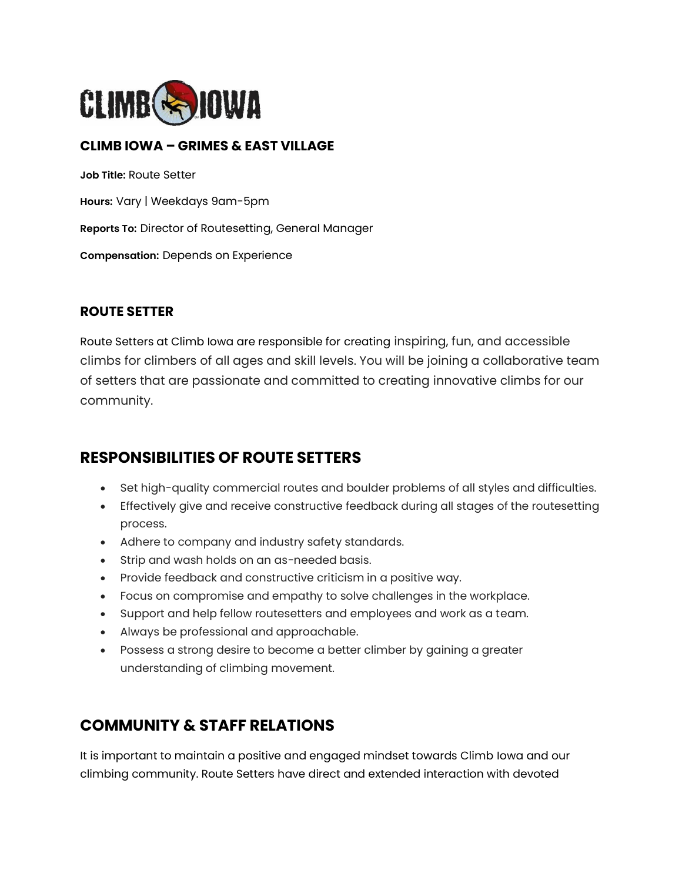

### **CLIMB IOWA – GRIMES & EAST VILLAGE**

**Job Title:** Route Setter **Hours:** Vary | Weekdays 9am-5pm **Reports To:** Director of Routesetting, General Manager **Compensation:** Depends on Experience

#### **ROUTE SETTER**

Route Setters at Climb Iowa are responsible for creating inspiring, fun, and accessible climbs for climbers of all ages and skill levels. You will be joining a collaborative team of setters that are passionate and committed to creating innovative climbs for our community.

### **RESPONSIBILITIES OF ROUTE SETTERS**

- Set high-quality commercial routes and boulder problems of all styles and difficulties.
- Effectively give and receive constructive feedback during all stages of the routesetting process.
- Adhere to company and industry safety standards.
- Strip and wash holds on an as-needed basis.
- Provide feedback and constructive criticism in a positive way.
- Focus on compromise and empathy to solve challenges in the workplace.
- Support and help fellow routesetters and employees and work as a team.
- Always be professional and approachable.
- Possess a strong desire to become a better climber by gaining a greater understanding of climbing movement.

### **COMMUNITY & STAFF RELATIONS**

It is important to maintain a positive and engaged mindset towards Climb Iowa and our climbing community. Route Setters have direct and extended interaction with devoted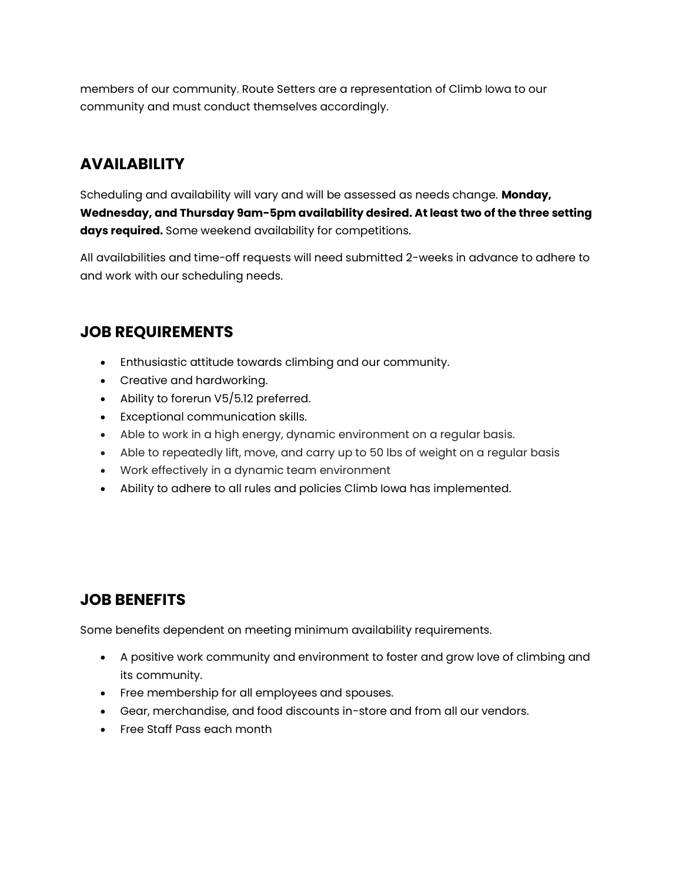members of our community. Route Setters are a representation of Climb Iowa to our community and must conduct themselves accordingly.

# **AVAILABILITY**

Scheduling and availability will vary and will be assessed as needs change. **Monday, Wednesday, and Thursday 9am-5pm availability desired. At least two of the three setting days required.** Some weekend availability for competitions.

All availabilities and time-off requests will need submitted 2-weeks in advance to adhere to and work with our scheduling needs.

# **JOB REQUIREMENTS**

- Enthusiastic attitude towards climbing and our community.
- Creative and hardworking.
- Ability to forerun V5/5.12 preferred.
- Exceptional communication skills.
- Able to work in a high energy, dynamic environment on a regular basis.
- Able to repeatedly lift, move, and carry up to 50 lbs of weight on a regular basis
- Work effectively in a dynamic team environment
- Ability to adhere to all rules and policies Climb Iowa has implemented.

# **JOB BENEFITS**

Some benefits dependent on meeting minimum availability requirements.

- A positive work community and environment to foster and grow love of climbing and its community.
- Free membership for all employees and spouses.
- Gear, merchandise, and food discounts in-store and from all our vendors.
- Free Staff Pass each month